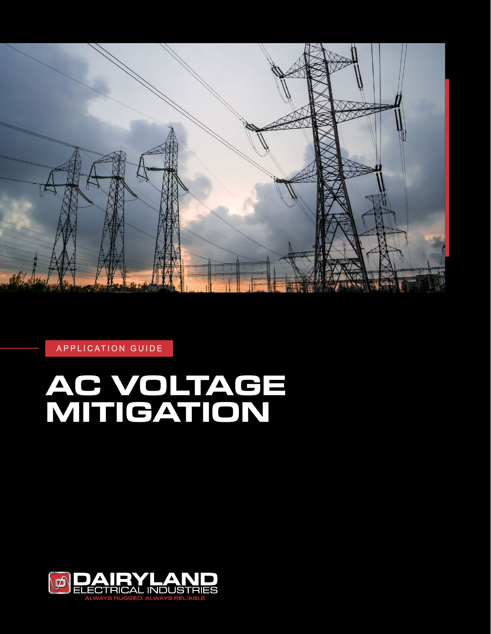

APPLICATION GUIDE

# **AC VOLTAGE MITIGATION**

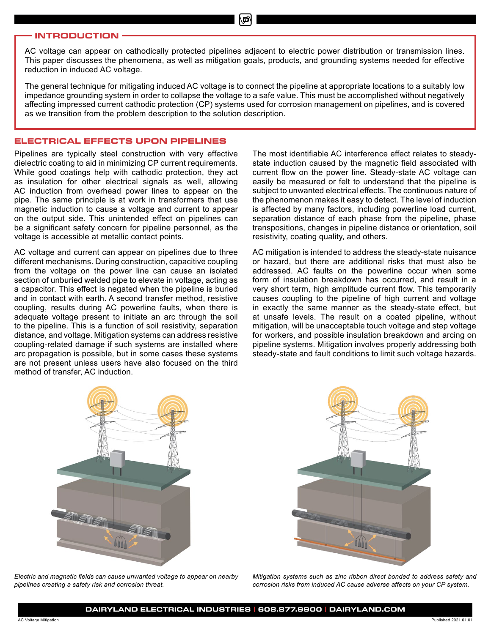#### **INTRODUCTION**

AC voltage can appear on cathodically protected pipelines adjacent to electric power distribution or transmission lines. This paper discusses the phenomena, as well as mitigation goals, products, and grounding systems needed for effective reduction in induced AC voltage.

The general technique for mitigating induced AC voltage is to connect the pipeline at appropriate locations to a suitably low impedance grounding system in order to collapse the voltage to a safe value. This must be accomplished without negatively affecting impressed current cathodic protection (CP) systems used for corrosion management on pipelines, and is covered as we transition from the problem description to the solution description.

#### **ELECTRICAL EFFECTS UPON PIPELINES**

Pipelines are typically steel construction with very effective dielectric coating to aid in minimizing CP current requirements. While good coatings help with cathodic protection, they act as insulation for other electrical signals as well, allowing AC induction from overhead power lines to appear on the pipe. The same principle is at work in transformers that use magnetic induction to cause a voltage and current to appear on the output side. This unintended effect on pipelines can be a significant safety concern for pipeline personnel, as the voltage is accessible at metallic contact points.

AC voltage and current can appear on pipelines due to three different mechanisms. During construction, capacitive coupling from the voltage on the power line can cause an isolated section of unburied welded pipe to elevate in voltage, acting as a capacitor. This effect is negated when the pipeline is buried and in contact with earth. A second transfer method, resistive coupling, results during AC powerline faults, when there is adequate voltage present to initiate an arc through the soil to the pipeline. This is a function of soil resistivity, separation distance, and voltage. Mitigation systems can address resistive coupling-related damage if such systems are installed where arc propagation is possible, but in some cases these systems are not present unless users have also focused on the third method of transfer, AC induction.

The most identifiable AC interference effect relates to steadystate induction caused by the magnetic field associated with current flow on the power line. Steady-state AC voltage can easily be measured or felt to understand that the pipeline is subject to unwanted electrical effects. The continuous nature of the phenomenon makes it easy to detect. The level of induction is affected by many factors, including powerline load current, separation distance of each phase from the pipeline, phase transpositions, changes in pipeline distance or orientation, soil resistivity, coating quality, and others.

AC mitigation is intended to address the steady-state nuisance or hazard, but there are additional risks that must also be addressed. AC faults on the powerline occur when some form of insulation breakdown has occurred, and result in a very short term, high amplitude current flow. This temporarily causes coupling to the pipeline of high current and voltage in exactly the same manner as the steady-state effect, but at unsafe levels. The result on a coated pipeline, without mitigation, will be unacceptable touch voltage and step voltage for workers, and possible insulation breakdown and arcing on pipeline systems. Mitigation involves properly addressing both steady-state and fault conditions to limit such voltage hazards.



*Electric and magnetic fields can cause unwanted voltage to appear on nearby pipelines creating a safety risk and corrosion threat.*



*Mitigation systems such as zinc ribbon direct bonded to address safety and corrosion risks from induced AC cause adverse affects on your CP system.*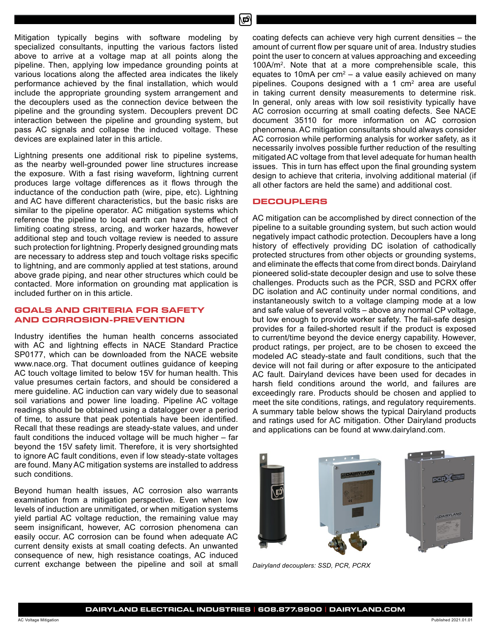Mitigation typically begins with software modeling by specialized consultants, inputting the various factors listed above to arrive at a voltage map at all points along the pipeline. Then, applying low impedance grounding points at various locations along the affected area indicates the likely performance achieved by the final installation, which would include the appropriate grounding system arrangement and the decouplers used as the connection device between the pipeline and the grounding system. Decouplers prevent DC interaction between the pipeline and grounding system, but pass AC signals and collapse the induced voltage. These devices are explained later in this article.

Lightning presents one additional risk to pipeline systems, as the nearby well-grounded power line structures increase the exposure. With a fast rising waveform, lightning current produces large voltage differences as it flows through the inductance of the conduction path (wire, pipe, etc). Lightning and AC have different characteristics, but the basic risks are similar to the pipeline operator. AC mitigation systems which reference the pipeline to local earth can have the effect of limiting coating stress, arcing, and worker hazards, however additional step and touch voltage review is needed to assure such protection for lightning. Properly designed grounding mats are necessary to address step and touch voltage risks specific to lightning, and are commonly applied at test stations, around above grade piping, and near other structures which could be contacted. More information on grounding mat application is included further on in this article.

## **GOALS AND CRITERIA FOR SAFETY AND CORROSION-PREVENTION**

Industry identifies the human health concerns associated with AC and lightning effects in NACE Standard Practice SP0177, which can be downloaded from the NACE website www.nace.org. That document outlines guidance of keeping AC touch voltage limited to below 15V for human health. This value presumes certain factors, and should be considered a mere guideline. AC induction can vary widely due to seasonal soil variations and power line loading. Pipeline AC voltage readings should be obtained using a datalogger over a period of time, to assure that peak potentials have been identified. Recall that these readings are steady-state values, and under fault conditions the induced voltage will be much higher – far beyond the 15V safety limit. Therefore, it is very shortsighted to ignore AC fault conditions, even if low steady-state voltages are found. Many AC mitigation systems are installed to address such conditions.

Beyond human health issues, AC corrosion also warrants examination from a mitigation perspective. Even when low levels of induction are unmitigated, or when mitigation systems yield partial AC voltage reduction, the remaining value may seem insignificant, however, AC corrosion phenomena can easily occur. AC corrosion can be found when adequate AC current density exists at small coating defects. An unwanted consequence of new, high resistance coatings, AC induced current exchange between the pipeline and soil at small coating defects can achieve very high current densities – the amount of current flow per square unit of area. Industry studies point the user to concern at values approaching and exceeding 100A/m<sup>2</sup> . Note that at a more comprehensible scale, this equates to 10mA per  $cm<sup>2</sup> - a$  value easily achieved on many pipelines. Coupons designed with a 1  $cm<sup>2</sup>$  area are useful in taking current density measurements to determine risk. In general, only areas with low soil resistivity typically have AC corrosion occurring at small coating defects. See NACE document 35110 for more information on AC corrosion phenomena. AC mitigation consultants should always consider AC corrosion while performing analysis for worker safety, as it necessarily involves possible further reduction of the resulting mitigated AC voltage from that level adequate for human health issues. This in turn has effect upon the final grounding system design to achieve that criteria, involving additional material (if all other factors are held the same) and additional cost.

## **DECOUPLERS**

AC mitigation can be accomplished by direct connection of the pipeline to a suitable grounding system, but such action would negatively impact cathodic protection. Decouplers have a long history of effectively providing DC isolation of cathodically protected structures from other objects or grounding systems, and eliminate the effects that come from direct bonds. Dairyland pioneered solid-state decoupler design and use to solve these challenges. Products such as the PCR, SSD and PCRX offer DC isolation and AC continuity under normal conditions, and instantaneously switch to a voltage clamping mode at a low and safe value of several volts – above any normal CP voltage, but low enough to provide worker safety. The fail-safe design provides for a failed-shorted result if the product is exposed to current/time beyond the device energy capability. However, product ratings, per project, are to be chosen to exceed the modeled AC steady-state and fault conditions, such that the device will not fail during or after exposure to the anticipated AC fault. Dairyland devices have been used for decades in harsh field conditions around the world, and failures are exceedingly rare. Products should be chosen and applied to meet the site conditions, ratings, and regulatory requirements. A summary table below shows the typical Dairyland products and ratings used for AC mitigation. Other Dairyland products and applications can be found at www.dairyland.com.



*Dairyland decouplers: SSD, PCR, PCRX*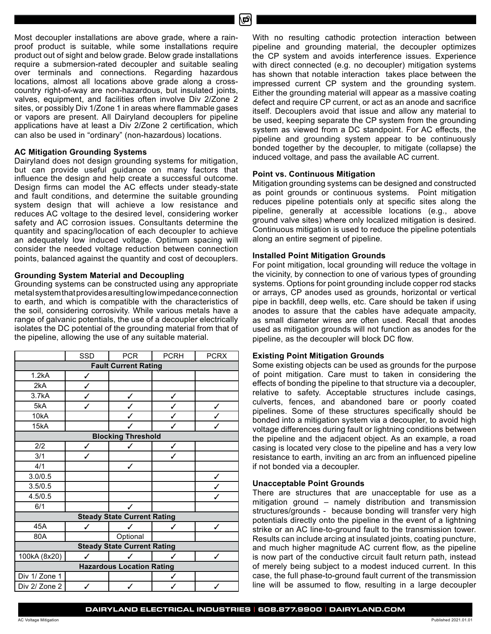Most decoupler installations are above grade, where a rainproof product is suitable, while some installations require product out of sight and below grade. Below grade installations require a submersion-rated decoupler and suitable sealing over terminals and connections. Regarding hazardous locations, almost all locations above grade along a crosscountry right-of-way are non-hazardous, but insulated joints, valves, equipment, and facilities often involve Div 2/Zone 2 sites, or possibly Div 1/Zone 1 in areas where flammable gases or vapors are present. All Dairyland decouplers for pipeline applications have at least a Div 2/Zone 2 certification, which can also be used in "ordinary" (non-hazardous) locations.

#### **AC Mitigation Grounding Systems**

Dairyland does not design grounding systems for mitigation, but can provide useful guidance on many factors that influence the design and help create a successful outcome. Design firms can model the AC effects under steady-state and fault conditions, and determine the suitable grounding system design that will achieve a low resistance and reduces AC voltage to the desired level, considering worker safety and AC corrosion issues. Consultants determine the quantity and spacing/location of each decoupler to achieve an adequately low induced voltage. Optimum spacing will consider the needed voltage reduction between connection points, balanced against the quantity and cost of decouplers.

## **Grounding System Material and Decoupling**

Grounding systems can be constructed using any appropriate metal system that provides a resulting low impedance connection to earth, and which is compatible with the characteristics of the soil, considering corrosivity. While various metals have a range of galvanic potentials, the use of a decoupler electrically isolates the DC potential of the grounding material from that of the pipeline, allowing the use of any suitable material.

|                                    | SSD | <b>PCR</b> | <b>PCRH</b>  | <b>PCRX</b> |  |
|------------------------------------|-----|------------|--------------|-------------|--|
| <b>Fault Current Rating</b>        |     |            |              |             |  |
| 1.2kA                              | ✓   |            |              |             |  |
| 2kA                                | ✓   |            |              |             |  |
| 3.7kA                              | ✓   | ✓          | ✓            |             |  |
| 5kA                                | ✓   |            | ✓            | ✓           |  |
| 10kA                               |     |            | $\checkmark$ |             |  |
| 15kA                               |     |            | ✓            |             |  |
| <b>Blocking Threshold</b>          |     |            |              |             |  |
| 2/2                                | ✓   |            | ✓            |             |  |
| 3/1                                | ✓   |            |              |             |  |
| 4/1                                |     | ✓          |              |             |  |
| 3.0/0.5                            |     |            |              | ✓           |  |
| 3.5/0.5                            |     |            |              |             |  |
| 4.5/0.5                            |     |            |              | ✓           |  |
| 6/1                                |     | ✓          |              |             |  |
| <b>Steady State Current Rating</b> |     |            |              |             |  |
| 45A                                | ℐ   | ℐ          | ℐ            | ✓           |  |
| 80A                                |     | Optional   |              |             |  |
| <b>Steady State Current Rating</b> |     |            |              |             |  |
| 100kA (8x20)                       | ✓   |            | ℐ            | ✓           |  |
| <b>Hazardous Location Rating</b>   |     |            |              |             |  |
| Div 1/ Zone 1                      |     |            | ✓            |             |  |
| Div 2/ Zone 2                      | ✓   |            |              |             |  |

With no resulting cathodic protection interaction between pipeline and grounding material, the decoupler optimizes the CP system and avoids interference issues. Experience with direct connected (e.g. no decoupler) mitigation systems has shown that notable interaction takes place between the impressed current CP system and the grounding system. Either the grounding material will appear as a massive coating defect and require CP current, or act as an anode and sacrifice itself. Decouplers avoid that issue and allow any material to be used, keeping separate the CP system from the grounding system as viewed from a DC standpoint. For AC effects, the pipeline and grounding system appear to be continuously bonded together by the decoupler, to mitigate (collapse) the induced voltage, and pass the available AC current.

#### **Point vs. Continuous Mitigation**

Mitigation grounding systems can be designed and constructed as point grounds or continuous systems. Point mitigation reduces pipeline potentials only at specific sites along the pipeline, generally at accessible locations (e.g., above ground valve sites) where only localized mitigation is desired. Continuous mitigation is used to reduce the pipeline potentials along an entire segment of pipeline.

#### **Installed Point Mitigation Grounds**

For point mitigation, local grounding will reduce the voltage in the vicinity, by connection to one of various types of grounding systems. Options for point grounding include copper rod stacks or arrays, CP anodes used as grounds, horizontal or vertical pipe in backfill, deep wells, etc. Care should be taken if using anodes to assure that the cables have adequate ampacity, as small diameter wires are often used. Recall that anodes used as mitigation grounds will not function as anodes for the pipeline, as the decoupler will block DC flow.

## **Existing Point Mitigation Grounds**

Some existing objects can be used as grounds for the purpose of point mitigation. Care must to taken in considering the effects of bonding the pipeline to that structure via a decoupler, relative to safety. Acceptable structures include casings, culverts, fences, and abandoned bare or poorly coated pipelines. Some of these structures specifically should be bonded into a mitigation system via a decoupler, to avoid high voltage differences during fault or lightning conditions between the pipeline and the adjacent object. As an example, a road casing is located very close to the pipeline and has a very low resistance to earth, inviting an arc from an influenced pipeline if not bonded via a decoupler.

#### **Unacceptable Point Grounds**

There are structures that are unacceptable for use as a mitigation ground – namely distribution and transmission structures/grounds - because bonding will transfer very high potentials directly onto the pipeline in the event of a lightning strike or an AC line-to-ground fault to the transmission tower. Results can include arcing at insulated joints, coating puncture, and much higher magnitude AC current flow, as the pipeline is now part of the conductive circuit fault return path, instead of merely being subject to a modest induced current. In this case, the full phase-to-ground fault current of the transmission line will be assumed to flow, resulting in a large decoupler